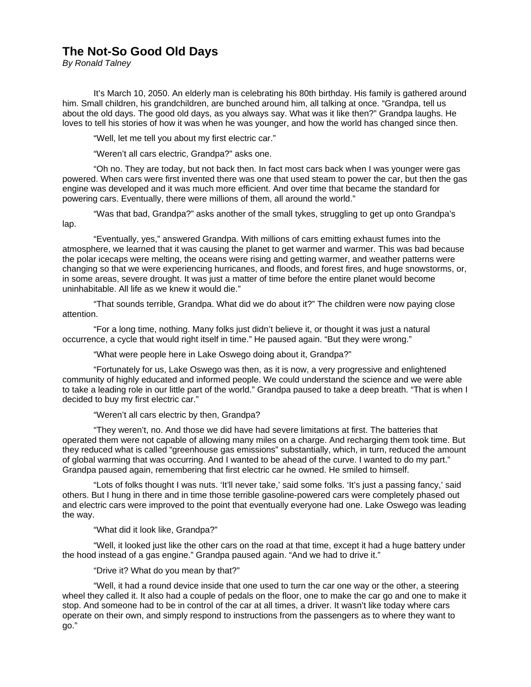## **The Not-So Good Old Days**

*By Ronald Talney* 

 It's March 10, 2050. An elderly man is celebrating his 80th birthday. His family is gathered around him. Small children, his grandchildren, are bunched around him, all talking at once. "Grandpa, tell us about the old days. The good old days, as you always say. What was it like then?" Grandpa laughs. He loves to tell his stories of how it was when he was younger, and how the world has changed since then.

"Well, let me tell you about my first electric car."

"Weren't all cars electric, Grandpa?" asks one.

 "Oh no. They are today, but not back then. In fact most cars back when I was younger were gas powered. When cars were first invented there was one that used steam to power the car, but then the gas engine was developed and it was much more efficient. And over time that became the standard for powering cars. Eventually, there were millions of them, all around the world."

 "Was that bad, Grandpa?" asks another of the small tykes, struggling to get up onto Grandpa's lap.

 "Eventually, yes," answered Grandpa. With millions of cars emitting exhaust fumes into the atmosphere, we learned that it was causing the planet to get warmer and warmer. This was bad because the polar icecaps were melting, the oceans were rising and getting warmer, and weather patterns were changing so that we were experiencing hurricanes, and floods, and forest fires, and huge snowstorms, or, in some areas, severe drought. It was just a matter of time before the entire planet would become uninhabitable. All life as we knew it would die."

 "That sounds terrible, Grandpa. What did we do about it?" The children were now paying close attention.

 "For a long time, nothing. Many folks just didn't believe it, or thought it was just a natural occurrence, a cycle that would right itself in time." He paused again. "But they were wrong."

"What were people here in Lake Oswego doing about it, Grandpa?"

 "Fortunately for us, Lake Oswego was then, as it is now, a very progressive and enlightened community of highly educated and informed people. We could understand the science and we were able to take a leading role in our little part of the world." Grandpa paused to take a deep breath. "That is when I decided to buy my first electric car."

"Weren't all cars electric by then, Grandpa?

 "They weren't, no. And those we did have had severe limitations at first. The batteries that operated them were not capable of allowing many miles on a charge. And recharging them took time. But they reduced what is called "greenhouse gas emissions" substantially, which, in turn, reduced the amount of global warming that was occurring. And I wanted to be ahead of the curve. I wanted to do my part." Grandpa paused again, remembering that first electric car he owned. He smiled to himself.

 "Lots of folks thought I was nuts. 'It'll never take,' said some folks. 'It's just a passing fancy,' said others. But I hung in there and in time those terrible gasoline-powered cars were completely phased out and electric cars were improved to the point that eventually everyone had one. Lake Oswego was leading the way.

"What did it look like, Grandpa?"

 "Well, it looked just like the other cars on the road at that time, except it had a huge battery under the hood instead of a gas engine." Grandpa paused again. "And we had to drive it."

"Drive it? What do you mean by that?"

 "Well, it had a round device inside that one used to turn the car one way or the other, a steering wheel they called it. It also had a couple of pedals on the floor, one to make the car go and one to make it stop. And someone had to be in control of the car at all times, a driver. It wasn't like today where cars operate on their own, and simply respond to instructions from the passengers as to where they want to go."